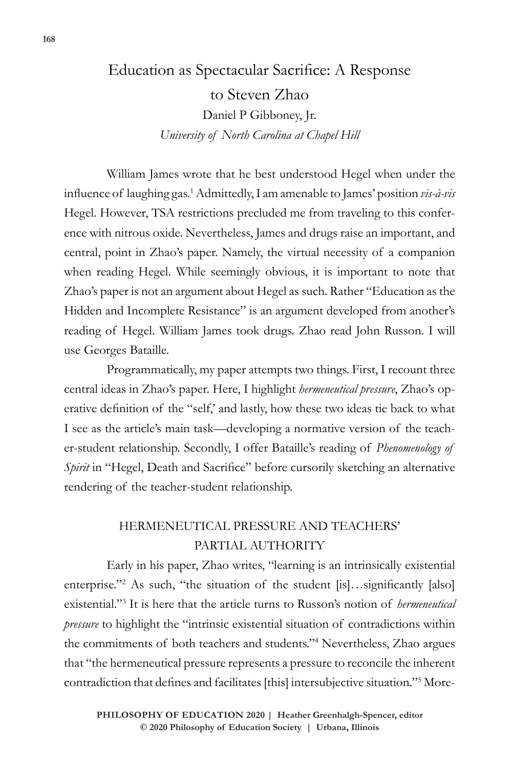# Education as Spectacular Sacrifice: A Response to Steven Zhao Daniel P Gibboney, Jr. *University of North Carolina at Chapel Hill*

William James wrote that he best understood Hegel when under the influence of laughing gas.<sup>1</sup> Admittedly, I am amenable to James' position *vis-à-vis* Hegel. However, TSA restrictions precluded me from traveling to this conference with nitrous oxide. Nevertheless, James and drugs raise an important, and central, point in Zhao's paper. Namely, the virtual necessity of a companion when reading Hegel. While seemingly obvious, it is important to note that Zhao's paper is not an argument about Hegel as such. Rather "Education as the Hidden and Incomplete Resistance" is an argument developed from another's reading of Hegel. William James took drugs. Zhao read John Russon. I will use Georges Bataille.

Programmatically, my paper attempts two things. First, I recount three central ideas in Zhao's paper. Here, I highlight *hermeneutical pressure*, Zhao's operative definition of the "self,' and lastly, how these two ideas tie back to what I see as the article's main task—developing a normative version of the teacher-student relationship. Secondly, I offer Bataille's reading of *Phenomenology of Spirit* in "Hegel, Death and Sacrifice" before cursorily sketching an alternative rendering of the teacher-student relationship.

# HERMENEUTICAL PRESSURE AND TEACHERS' PARTIAL AUTHORITY

Early in his paper, Zhao writes, "learning is an intrinsically existential enterprise."<sup>2</sup> As such, "the situation of the student [is]…significantly [also] existential."<sup>3</sup> It is here that the article turns to Russon's notion of *hermeneutical pressure* to highlight the "intrinsic existential situation of contradictions within the commitments of both teachers and students."<sup>4</sup> Nevertheless, Zhao argues that "the hermeneutical pressure represents a pressure to reconcile the inherent contradiction that defines and facilitates [this] intersubjective situation."<sup>5</sup> More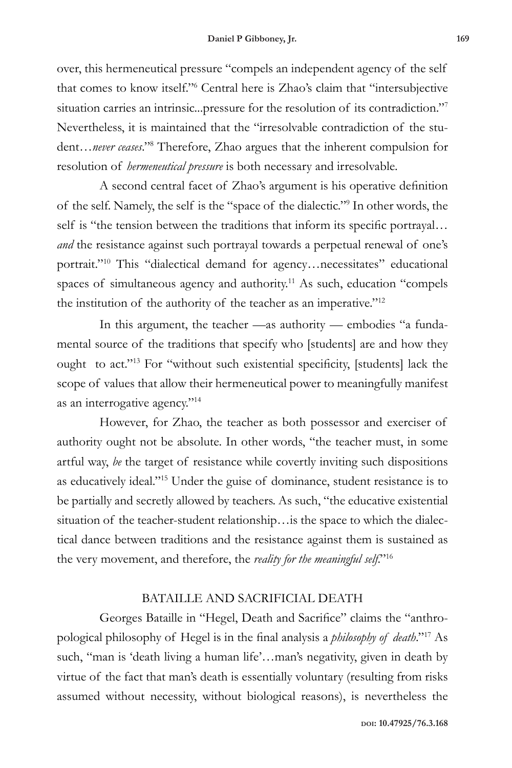over, this hermeneutical pressure "compels an independent agency of the self that comes to know itself."<sup>6</sup> Central here is Zhao's claim that "intersubjective situation carries an intrinsic...pressure for the resolution of its contradiction."<sup>7</sup> Nevertheless, it is maintained that the "irresolvable contradiction of the student…*never ceases*."<sup>8</sup> Therefore, Zhao argues that the inherent compulsion for resolution of *hermeneutical pressure* is both necessary and irresolvable.

A second central facet of Zhao's argument is his operative definition of the self. Namely, the self is the "space of the dialectic."<sup>9</sup> In other words, the self is "the tension between the traditions that inform its specific portrayal… *and* the resistance against such portrayal towards a perpetual renewal of one's portrait."<sup>10</sup> This "dialectical demand for agency...necessitates" educational spaces of simultaneous agency and authority.<sup>11</sup> As such, education "compels the institution of the authority of the teacher as an imperative."<sup>12</sup>

In this argument, the teacher —as authority — embodies "a fundamental source of the traditions that specify who [students] are and how they ought to act."<sup>13</sup> For "without such existential specificity, [students] lack the scope of values that allow their hermeneutical power to meaningfully manifest as an interrogative agency."<sup>14</sup>

However, for Zhao, the teacher as both possessor and exerciser of authority ought not be absolute. In other words, "the teacher must, in some artful way, *be* the target of resistance while covertly inviting such dispositions as educatively ideal."<sup>15</sup> Under the guise of dominance, student resistance is to be partially and secretly allowed by teachers. As such, "the educative existential situation of the teacher-student relationship…is the space to which the dialectical dance between traditions and the resistance against them is sustained as the very movement, and therefore, the *reality for the meaningful self*."<sup>16</sup>

## BATAILLE AND SACRIFICIAL DEATH

Georges Bataille in "Hegel, Death and Sacrifice" claims the "anthropological philosophy of Hegel is in the final analysis a *philosophy of death*."<sup>17</sup> As such, "man is 'death living a human life'…man's negativity, given in death by virtue of the fact that man's death is essentially voluntary (resulting from risks assumed without necessity, without biological reasons), is nevertheless the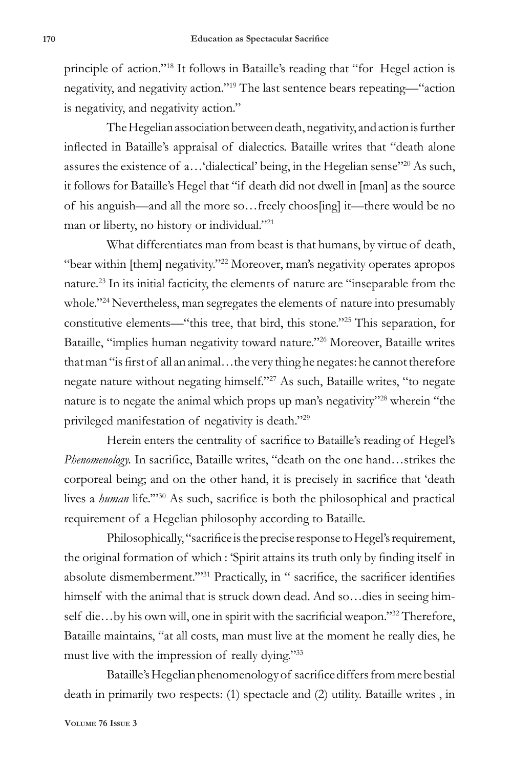principle of action."<sup>18</sup> It follows in Bataille's reading that "for Hegel action is negativity, and negativity action."<sup>19</sup> The last sentence bears repeating—"action is negativity, and negativity action."

The Hegelian association between death, negativity, and action is further inflected in Bataille's appraisal of dialectics. Bataille writes that "death alone assures the existence of a…'dialectical' being, in the Hegelian sense"<sup>20</sup> As such, it follows for Bataille's Hegel that "if death did not dwell in [man] as the source of his anguish—and all the more so…freely choos[ing] it—there would be no man or liberty, no history or individual."<sup>21</sup>

What differentiates man from beast is that humans, by virtue of death, "bear within [them] negativity."<sup>22</sup> Moreover, man's negativity operates apropos nature.23 In its initial facticity, the elements of nature are "inseparable from the whole."<sup>24</sup> Nevertheless, man segregates the elements of nature into presumably constitutive elements—"this tree, that bird, this stone."<sup>25</sup> This separation, for Bataille, "implies human negativity toward nature."<sup>26</sup> Moreover, Bataille writes that man "is first of all an animal…the very thing he negates: he cannot therefore negate nature without negating himself."<sup>27</sup> As such, Bataille writes, "to negate nature is to negate the animal which props up man's negativity"<sup>28</sup> wherein "the privileged manifestation of negativity is death."<sup>29</sup>

Herein enters the centrality of sacrifice to Bataille's reading of Hegel's *Phenomenology.* In sacrifice, Bataille writes, "death on the one hand…strikes the corporeal being; and on the other hand, it is precisely in sacrifice that 'death lives a *human* life.'"<sup>30</sup> As such, sacrifice is both the philosophical and practical requirement of a Hegelian philosophy according to Bataille.

Philosophically, "sacrifice is the precise response to Hegel's requirement, the original formation of which : 'Spirit attains its truth only by finding itself in absolute dismemberment."<sup>31</sup> Practically, in " sacrifice, the sacrificer identifies himself with the animal that is struck down dead. And so…dies in seeing himself die...by his own will, one in spirit with the sacrificial weapon."<sup>32</sup> Therefore, Bataille maintains, "at all costs, man must live at the moment he really dies, he must live with the impression of really dying."<sup>33</sup>

Bataille's Hegelian phenomenology of sacrifice differs from mere bestial death in primarily two respects: (1) spectacle and (2) utility. Bataille writes , in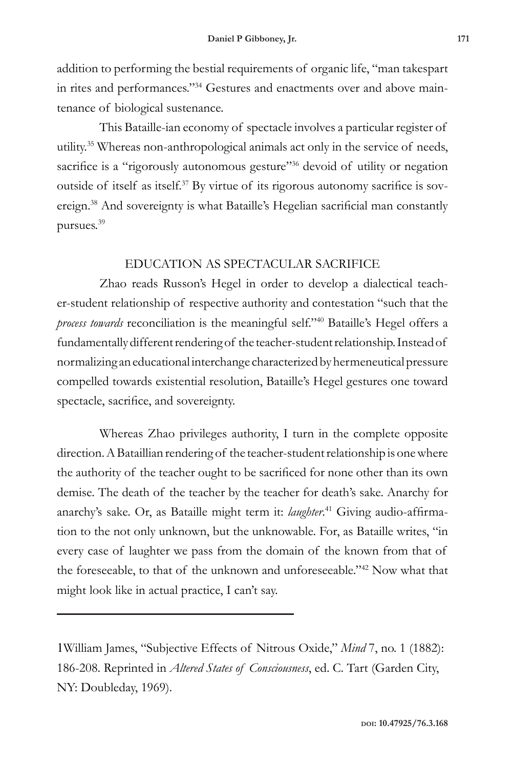addition to performing the bestial requirements of organic life, "man takespart in rites and performances."34 Gestures and enactments over and above maintenance of biological sustenance.

This Bataille-ian economy of spectacle involves a particular register of utility.35 Whereas non-anthropological animals act only in the service of needs, sacrifice is a "rigorously autonomous gesture"<sup>36</sup> devoid of utility or negation outside of itself as itself.37 By virtue of its rigorous autonomy sacrifice is sovereign.<sup>38</sup> And sovereignty is what Bataille's Hegelian sacrificial man constantly pursues.39

### EDUCATION AS SPECTACULAR SACRIFICE

Zhao reads Russon's Hegel in order to develop a dialectical teacher-student relationship of respective authority and contestation "such that the *process towards* reconciliation is the meaningful self."<sup>40</sup> Bataille's Hegel offers a fundamentally different rendering of the teacher-student relationship. Instead of normalizing an educational interchange characterized by hermeneutical pressure compelled towards existential resolution, Bataille's Hegel gestures one toward spectacle, sacrifice, and sovereignty.

Whereas Zhao privileges authority, I turn in the complete opposite direction. A Bataillian rendering of the teacher-student relationship is one where the authority of the teacher ought to be sacrificed for none other than its own demise. The death of the teacher by the teacher for death's sake. Anarchy for anarchy's sake. Or, as Bataille might term it: *laughter*. 41 Giving audio-affirmation to the not only unknown, but the unknowable. For, as Bataille writes, "in every case of laughter we pass from the domain of the known from that of the foreseeable, to that of the unknown and unforeseeable."42 Now what that might look like in actual practice, I can't say.

1William James, "Subjective Effects of Nitrous Oxide," *Mind* 7, no. 1 (1882): 186-208. Reprinted in *Altered States of Consciousness*, ed. C. Tart (Garden City, NY: Doubleday, 1969).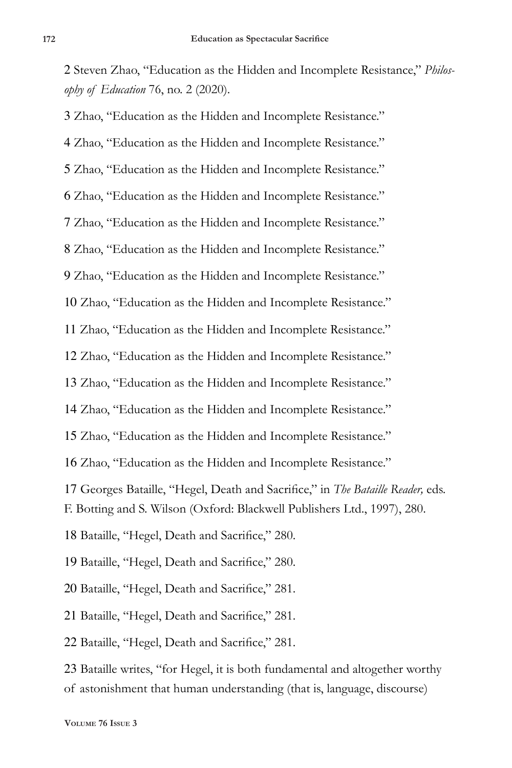Steven Zhao, "Education as the Hidden and Incomplete Resistance," *Philosophy of Education* 76, no. 2 (2020).

 Zhao, "Education as the Hidden and Incomplete Resistance." Zhao, "Education as the Hidden and Incomplete Resistance." Zhao, "Education as the Hidden and Incomplete Resistance." Zhao, "Education as the Hidden and Incomplete Resistance." Zhao, "Education as the Hidden and Incomplete Resistance." Zhao, "Education as the Hidden and Incomplete Resistance." Zhao, "Education as the Hidden and Incomplete Resistance." Zhao, "Education as the Hidden and Incomplete Resistance." Zhao, "Education as the Hidden and Incomplete Resistance." Zhao, "Education as the Hidden and Incomplete Resistance." Zhao, "Education as the Hidden and Incomplete Resistance." Zhao, "Education as the Hidden and Incomplete Resistance." Zhao, "Education as the Hidden and Incomplete Resistance." Zhao, "Education as the Hidden and Incomplete Resistance."

 Georges Bataille, "Hegel, Death and Sacrifice," in *The Bataille Reader,* eds. F. Botting and S. Wilson (Oxford: Blackwell Publishers Ltd., 1997), 280.

Bataille, "Hegel, Death and Sacrifice," 280.

Bataille, "Hegel, Death and Sacrifice," 280.

Bataille, "Hegel, Death and Sacrifice," 281.

Bataille, "Hegel, Death and Sacrifice," 281.

Bataille, "Hegel, Death and Sacrifice," 281.

 Bataille writes, "for Hegel, it is both fundamental and altogether worthy of astonishment that human understanding (that is, language, discourse)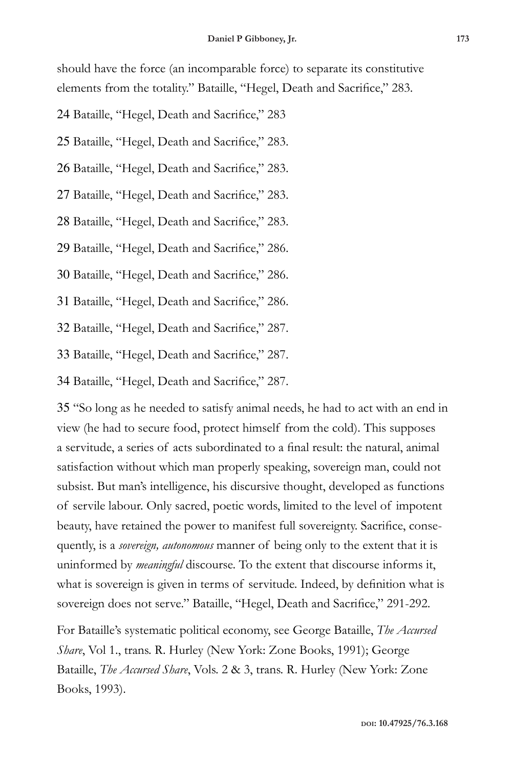should have the force (an incomparable force) to separate its constitutive elements from the totality." Bataille, "Hegel, Death and Sacrifice," 283.

- 24 Bataille, "Hegel, Death and Sacrifice," 283
- 25 Bataille, "Hegel, Death and Sacrifice," 283.
- 26 Bataille, "Hegel, Death and Sacrifice," 283.
- 27 Bataille, "Hegel, Death and Sacrifice," 283.
- 28 Bataille, "Hegel, Death and Sacrifice," 283.
- 29 Bataille, "Hegel, Death and Sacrifice," 286.
- 30 Bataille, "Hegel, Death and Sacrifice," 286.
- 31 Bataille, "Hegel, Death and Sacrifice," 286.
- 32 Bataille, "Hegel, Death and Sacrifice," 287.
- 33 Bataille, "Hegel, Death and Sacrifice," 287.
- 34 Bataille, "Hegel, Death and Sacrifice," 287.

35 "So long as he needed to satisfy animal needs, he had to act with an end in view (he had to secure food, protect himself from the cold). This supposes a servitude, a series of acts subordinated to a final result: the natural, animal satisfaction without which man properly speaking, sovereign man, could not subsist. But man's intelligence, his discursive thought, developed as functions of servile labour. Only sacred, poetic words, limited to the level of impotent beauty, have retained the power to manifest full sovereignty. Sacrifice, consequently, is a *sovereign, autonomous* manner of being only to the extent that it is uninformed by *meaningful* discourse. To the extent that discourse informs it, what is sovereign is given in terms of servitude. Indeed, by definition what is sovereign does not serve." Bataille, "Hegel, Death and Sacrifice," 291-292.

For Bataille's systematic political economy, see George Bataille, *The Accursed Share*, Vol 1., trans. R. Hurley (New York: Zone Books, 1991); George Bataille, *The Accursed Share*, Vols. 2 & 3, trans. R. Hurley (New York: Zone Books, 1993).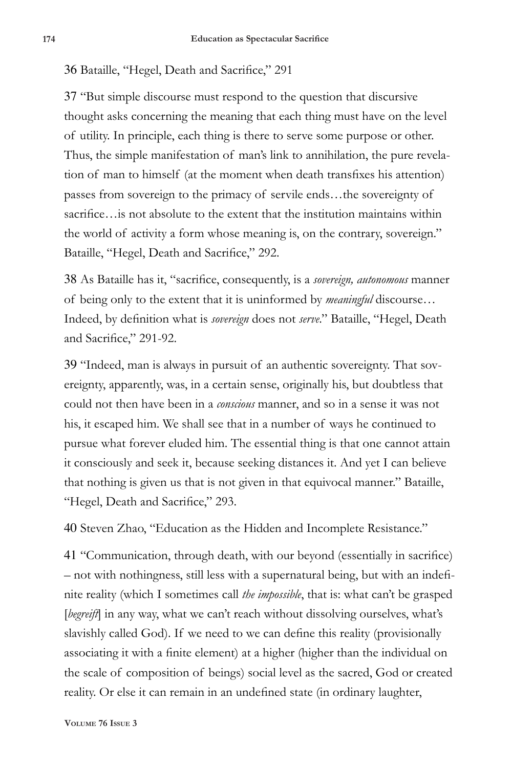#### 36 Bataille, "Hegel, Death and Sacrifice," 291

37 "But simple discourse must respond to the question that discursive thought asks concerning the meaning that each thing must have on the level of utility. In principle, each thing is there to serve some purpose or other. Thus, the simple manifestation of man's link to annihilation, the pure revelation of man to himself (at the moment when death transfixes his attention) passes from sovereign to the primacy of servile ends…the sovereignty of sacrifice...is not absolute to the extent that the institution maintains within the world of activity a form whose meaning is, on the contrary, sovereign." Bataille, "Hegel, Death and Sacrifice," 292.

38 As Bataille has it, "sacrifice, consequently, is a *sovereign, autonomous* manner of being only to the extent that it is uninformed by *meaningful* discourse… Indeed, by definition what is *sovereign* does not *serve*." Bataille, "Hegel, Death and Sacrifice," 291-92.

39 "Indeed, man is always in pursuit of an authentic sovereignty. That sovereignty, apparently, was, in a certain sense, originally his, but doubtless that could not then have been in a *conscious* manner, and so in a sense it was not his, it escaped him. We shall see that in a number of ways he continued to pursue what forever eluded him. The essential thing is that one cannot attain it consciously and seek it, because seeking distances it. And yet I can believe that nothing is given us that is not given in that equivocal manner." Bataille, "Hegel, Death and Sacrifice," 293.

40 Steven Zhao, "Education as the Hidden and Incomplete Resistance."

41 "Communication, through death, with our beyond (essentially in sacrifice) – not with nothingness, still less with a supernatural being, but with an indefinite reality (which I sometimes call *the impossible*, that is: what can't be grasped [begreift] in any way, what we can't reach without dissolving ourselves, what's slavishly called God). If we need to we can define this reality (provisionally associating it with a finite element) at a higher (higher than the individual on the scale of composition of beings) social level as the sacred, God or created reality. Or else it can remain in an undefined state (in ordinary laughter,